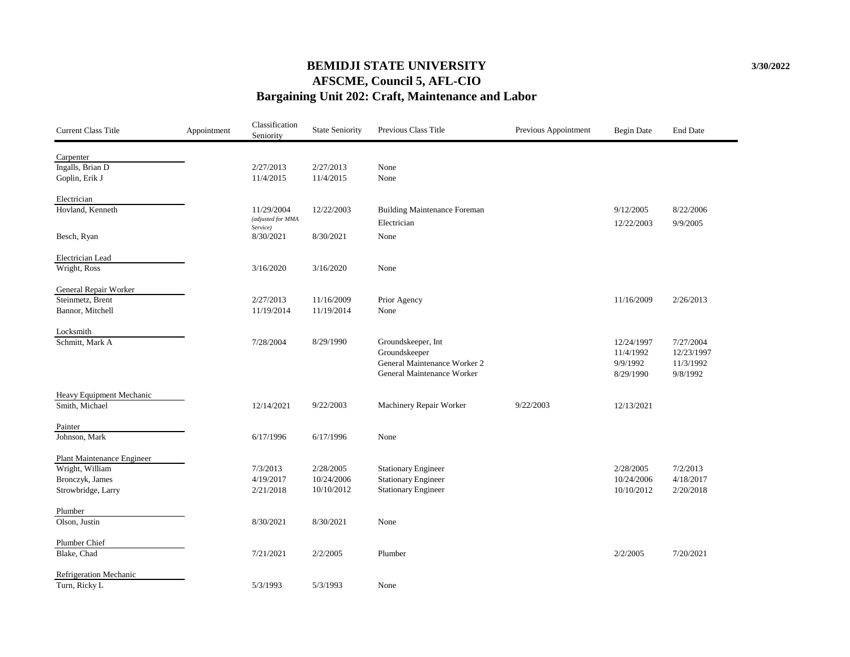### **AFSCME, Council 5, AFL-CIO Bargaining Unit 202: Craft, Maintenance and Labor BEMIDJI STATE UNIVERSITY**

| Carpenter<br>Ingalls, Brian D<br>2/27/2013<br>None<br>2/27/2013<br>11/4/2015<br>11/4/2015<br>Goplin, Erik J<br>None<br>Electrician<br>Hovland, Kenneth<br>12/22/2003<br><b>Building Maintenance Foreman</b><br>11/29/2004<br>9/12/2005<br>8/22/2006<br>(adjusted for MMA<br>Electrician<br>12/22/2003<br>9/9/2005<br>Service)<br>8/30/2021<br>Besch, Ryan<br>8/30/2021<br>None<br>Electrician Lead<br>Wright, Ross<br>3/16/2020<br>3/16/2020<br>None<br>General Repair Worker<br>11/16/2009<br>Steinmetz, Brent<br>Prior Agency<br>2/27/2013<br>11/16/2009<br>2/26/2013<br>11/19/2014<br>11/19/2014<br>Bannor, Mitchell<br>None<br>Locksmith<br>Schmitt, Mark A<br>8/29/1990<br>Groundskeeper, Int<br>7/28/2004<br>12/24/1997<br>7/27/2004<br>12/23/1997<br>Groundskeeper<br>11/4/1992<br>General Maintenance Worker 2<br>9/9/1992<br>11/3/1992<br>General Maintenance Worker<br>8/29/1990<br>9/8/1992<br>Heavy Equipment Mechanic<br>Smith, Michael<br>12/14/2021<br>9/22/2003<br>Machinery Repair Worker<br>9/22/2003<br>12/13/2021<br>Painter<br>Johnson, Mark<br>6/17/1996<br>6/17/1996<br>None<br><b>Plant Maintenance Engineer</b><br>Wright, William<br>2/28/2005<br><b>Stationary Engineer</b><br>7/3/2013<br>2/28/2005<br>7/2/2013<br>Bronczyk, James<br>4/19/2017<br><b>Stationary Engineer</b><br>4/18/2017<br>10/24/2006<br>10/24/2006<br>Strowbridge, Larry<br>2/21/2018<br>10/10/2012<br><b>Stationary Engineer</b><br>10/10/2012<br>2/20/2018<br>Plumber<br>Olson, Justin<br>8/30/2021<br>8/30/2021<br>None<br>Plumber Chief<br>Blake, Chad<br>7/21/2021<br>2/2/2005<br>Plumber<br>2/2/2005<br>7/20/2021<br>Refrigeration Mechanic<br>Turn, Ricky L<br>5/3/1993<br>5/3/1993<br>None | <b>Current Class Title</b> | Appointment | Classification<br>Seniority | <b>State Seniority</b> | Previous Class Title | Previous Appointment | <b>Begin Date</b> | <b>End Date</b> |
|----------------------------------------------------------------------------------------------------------------------------------------------------------------------------------------------------------------------------------------------------------------------------------------------------------------------------------------------------------------------------------------------------------------------------------------------------------------------------------------------------------------------------------------------------------------------------------------------------------------------------------------------------------------------------------------------------------------------------------------------------------------------------------------------------------------------------------------------------------------------------------------------------------------------------------------------------------------------------------------------------------------------------------------------------------------------------------------------------------------------------------------------------------------------------------------------------------------------------------------------------------------------------------------------------------------------------------------------------------------------------------------------------------------------------------------------------------------------------------------------------------------------------------------------------------------------------------------------------------------------------------------------------------------------------------------------------|----------------------------|-------------|-----------------------------|------------------------|----------------------|----------------------|-------------------|-----------------|
|                                                                                                                                                                                                                                                                                                                                                                                                                                                                                                                                                                                                                                                                                                                                                                                                                                                                                                                                                                                                                                                                                                                                                                                                                                                                                                                                                                                                                                                                                                                                                                                                                                                                                                    |                            |             |                             |                        |                      |                      |                   |                 |
|                                                                                                                                                                                                                                                                                                                                                                                                                                                                                                                                                                                                                                                                                                                                                                                                                                                                                                                                                                                                                                                                                                                                                                                                                                                                                                                                                                                                                                                                                                                                                                                                                                                                                                    |                            |             |                             |                        |                      |                      |                   |                 |
|                                                                                                                                                                                                                                                                                                                                                                                                                                                                                                                                                                                                                                                                                                                                                                                                                                                                                                                                                                                                                                                                                                                                                                                                                                                                                                                                                                                                                                                                                                                                                                                                                                                                                                    |                            |             |                             |                        |                      |                      |                   |                 |
|                                                                                                                                                                                                                                                                                                                                                                                                                                                                                                                                                                                                                                                                                                                                                                                                                                                                                                                                                                                                                                                                                                                                                                                                                                                                                                                                                                                                                                                                                                                                                                                                                                                                                                    |                            |             |                             |                        |                      |                      |                   |                 |
|                                                                                                                                                                                                                                                                                                                                                                                                                                                                                                                                                                                                                                                                                                                                                                                                                                                                                                                                                                                                                                                                                                                                                                                                                                                                                                                                                                                                                                                                                                                                                                                                                                                                                                    |                            |             |                             |                        |                      |                      |                   |                 |
|                                                                                                                                                                                                                                                                                                                                                                                                                                                                                                                                                                                                                                                                                                                                                                                                                                                                                                                                                                                                                                                                                                                                                                                                                                                                                                                                                                                                                                                                                                                                                                                                                                                                                                    |                            |             |                             |                        |                      |                      |                   |                 |
|                                                                                                                                                                                                                                                                                                                                                                                                                                                                                                                                                                                                                                                                                                                                                                                                                                                                                                                                                                                                                                                                                                                                                                                                                                                                                                                                                                                                                                                                                                                                                                                                                                                                                                    |                            |             |                             |                        |                      |                      |                   |                 |
|                                                                                                                                                                                                                                                                                                                                                                                                                                                                                                                                                                                                                                                                                                                                                                                                                                                                                                                                                                                                                                                                                                                                                                                                                                                                                                                                                                                                                                                                                                                                                                                                                                                                                                    |                            |             |                             |                        |                      |                      |                   |                 |
|                                                                                                                                                                                                                                                                                                                                                                                                                                                                                                                                                                                                                                                                                                                                                                                                                                                                                                                                                                                                                                                                                                                                                                                                                                                                                                                                                                                                                                                                                                                                                                                                                                                                                                    |                            |             |                             |                        |                      |                      |                   |                 |
|                                                                                                                                                                                                                                                                                                                                                                                                                                                                                                                                                                                                                                                                                                                                                                                                                                                                                                                                                                                                                                                                                                                                                                                                                                                                                                                                                                                                                                                                                                                                                                                                                                                                                                    |                            |             |                             |                        |                      |                      |                   |                 |
|                                                                                                                                                                                                                                                                                                                                                                                                                                                                                                                                                                                                                                                                                                                                                                                                                                                                                                                                                                                                                                                                                                                                                                                                                                                                                                                                                                                                                                                                                                                                                                                                                                                                                                    |                            |             |                             |                        |                      |                      |                   |                 |
|                                                                                                                                                                                                                                                                                                                                                                                                                                                                                                                                                                                                                                                                                                                                                                                                                                                                                                                                                                                                                                                                                                                                                                                                                                                                                                                                                                                                                                                                                                                                                                                                                                                                                                    |                            |             |                             |                        |                      |                      |                   |                 |
|                                                                                                                                                                                                                                                                                                                                                                                                                                                                                                                                                                                                                                                                                                                                                                                                                                                                                                                                                                                                                                                                                                                                                                                                                                                                                                                                                                                                                                                                                                                                                                                                                                                                                                    |                            |             |                             |                        |                      |                      |                   |                 |
|                                                                                                                                                                                                                                                                                                                                                                                                                                                                                                                                                                                                                                                                                                                                                                                                                                                                                                                                                                                                                                                                                                                                                                                                                                                                                                                                                                                                                                                                                                                                                                                                                                                                                                    |                            |             |                             |                        |                      |                      |                   |                 |
|                                                                                                                                                                                                                                                                                                                                                                                                                                                                                                                                                                                                                                                                                                                                                                                                                                                                                                                                                                                                                                                                                                                                                                                                                                                                                                                                                                                                                                                                                                                                                                                                                                                                                                    |                            |             |                             |                        |                      |                      |                   |                 |
|                                                                                                                                                                                                                                                                                                                                                                                                                                                                                                                                                                                                                                                                                                                                                                                                                                                                                                                                                                                                                                                                                                                                                                                                                                                                                                                                                                                                                                                                                                                                                                                                                                                                                                    |                            |             |                             |                        |                      |                      |                   |                 |
|                                                                                                                                                                                                                                                                                                                                                                                                                                                                                                                                                                                                                                                                                                                                                                                                                                                                                                                                                                                                                                                                                                                                                                                                                                                                                                                                                                                                                                                                                                                                                                                                                                                                                                    |                            |             |                             |                        |                      |                      |                   |                 |
|                                                                                                                                                                                                                                                                                                                                                                                                                                                                                                                                                                                                                                                                                                                                                                                                                                                                                                                                                                                                                                                                                                                                                                                                                                                                                                                                                                                                                                                                                                                                                                                                                                                                                                    |                            |             |                             |                        |                      |                      |                   |                 |
|                                                                                                                                                                                                                                                                                                                                                                                                                                                                                                                                                                                                                                                                                                                                                                                                                                                                                                                                                                                                                                                                                                                                                                                                                                                                                                                                                                                                                                                                                                                                                                                                                                                                                                    |                            |             |                             |                        |                      |                      |                   |                 |
|                                                                                                                                                                                                                                                                                                                                                                                                                                                                                                                                                                                                                                                                                                                                                                                                                                                                                                                                                                                                                                                                                                                                                                                                                                                                                                                                                                                                                                                                                                                                                                                                                                                                                                    |                            |             |                             |                        |                      |                      |                   |                 |
|                                                                                                                                                                                                                                                                                                                                                                                                                                                                                                                                                                                                                                                                                                                                                                                                                                                                                                                                                                                                                                                                                                                                                                                                                                                                                                                                                                                                                                                                                                                                                                                                                                                                                                    |                            |             |                             |                        |                      |                      |                   |                 |
|                                                                                                                                                                                                                                                                                                                                                                                                                                                                                                                                                                                                                                                                                                                                                                                                                                                                                                                                                                                                                                                                                                                                                                                                                                                                                                                                                                                                                                                                                                                                                                                                                                                                                                    |                            |             |                             |                        |                      |                      |                   |                 |
|                                                                                                                                                                                                                                                                                                                                                                                                                                                                                                                                                                                                                                                                                                                                                                                                                                                                                                                                                                                                                                                                                                                                                                                                                                                                                                                                                                                                                                                                                                                                                                                                                                                                                                    |                            |             |                             |                        |                      |                      |                   |                 |
|                                                                                                                                                                                                                                                                                                                                                                                                                                                                                                                                                                                                                                                                                                                                                                                                                                                                                                                                                                                                                                                                                                                                                                                                                                                                                                                                                                                                                                                                                                                                                                                                                                                                                                    |                            |             |                             |                        |                      |                      |                   |                 |
|                                                                                                                                                                                                                                                                                                                                                                                                                                                                                                                                                                                                                                                                                                                                                                                                                                                                                                                                                                                                                                                                                                                                                                                                                                                                                                                                                                                                                                                                                                                                                                                                                                                                                                    |                            |             |                             |                        |                      |                      |                   |                 |
|                                                                                                                                                                                                                                                                                                                                                                                                                                                                                                                                                                                                                                                                                                                                                                                                                                                                                                                                                                                                                                                                                                                                                                                                                                                                                                                                                                                                                                                                                                                                                                                                                                                                                                    |                            |             |                             |                        |                      |                      |                   |                 |
|                                                                                                                                                                                                                                                                                                                                                                                                                                                                                                                                                                                                                                                                                                                                                                                                                                                                                                                                                                                                                                                                                                                                                                                                                                                                                                                                                                                                                                                                                                                                                                                                                                                                                                    |                            |             |                             |                        |                      |                      |                   |                 |
|                                                                                                                                                                                                                                                                                                                                                                                                                                                                                                                                                                                                                                                                                                                                                                                                                                                                                                                                                                                                                                                                                                                                                                                                                                                                                                                                                                                                                                                                                                                                                                                                                                                                                                    |                            |             |                             |                        |                      |                      |                   |                 |
|                                                                                                                                                                                                                                                                                                                                                                                                                                                                                                                                                                                                                                                                                                                                                                                                                                                                                                                                                                                                                                                                                                                                                                                                                                                                                                                                                                                                                                                                                                                                                                                                                                                                                                    |                            |             |                             |                        |                      |                      |                   |                 |
|                                                                                                                                                                                                                                                                                                                                                                                                                                                                                                                                                                                                                                                                                                                                                                                                                                                                                                                                                                                                                                                                                                                                                                                                                                                                                                                                                                                                                                                                                                                                                                                                                                                                                                    |                            |             |                             |                        |                      |                      |                   |                 |
|                                                                                                                                                                                                                                                                                                                                                                                                                                                                                                                                                                                                                                                                                                                                                                                                                                                                                                                                                                                                                                                                                                                                                                                                                                                                                                                                                                                                                                                                                                                                                                                                                                                                                                    |                            |             |                             |                        |                      |                      |                   |                 |
|                                                                                                                                                                                                                                                                                                                                                                                                                                                                                                                                                                                                                                                                                                                                                                                                                                                                                                                                                                                                                                                                                                                                                                                                                                                                                                                                                                                                                                                                                                                                                                                                                                                                                                    |                            |             |                             |                        |                      |                      |                   |                 |
|                                                                                                                                                                                                                                                                                                                                                                                                                                                                                                                                                                                                                                                                                                                                                                                                                                                                                                                                                                                                                                                                                                                                                                                                                                                                                                                                                                                                                                                                                                                                                                                                                                                                                                    |                            |             |                             |                        |                      |                      |                   |                 |
|                                                                                                                                                                                                                                                                                                                                                                                                                                                                                                                                                                                                                                                                                                                                                                                                                                                                                                                                                                                                                                                                                                                                                                                                                                                                                                                                                                                                                                                                                                                                                                                                                                                                                                    |                            |             |                             |                        |                      |                      |                   |                 |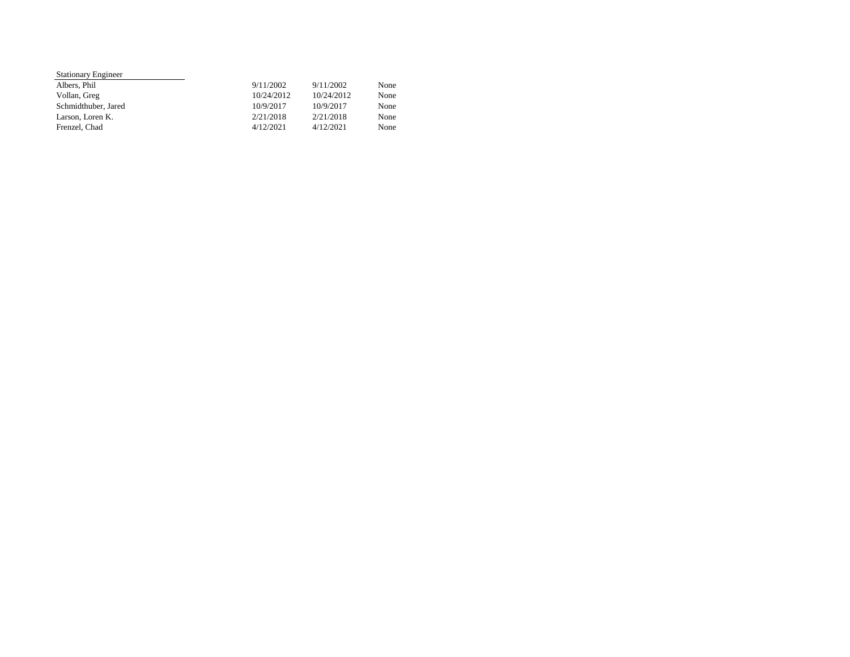| <b>Stationary Engineer</b> |            |            |      |
|----------------------------|------------|------------|------|
| Albers, Phil               | 9/11/2002  | 9/11/2002  | None |
| Vollan, Greg               | 10/24/2012 | 10/24/2012 | None |
| Schmidthuber, Jared        | 10/9/2017  | 10/9/2017  | None |
| Larson, Loren K.           | 2/21/2018  | 2/21/2018  | None |
| Frenzel, Chad              | 4/12/2021  | 4/12/2021  | None |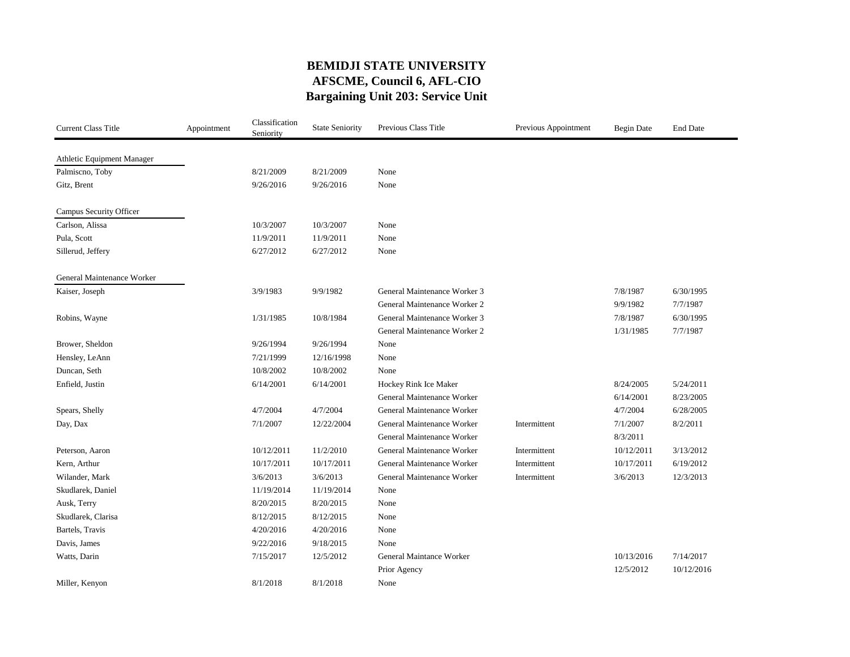#### **BEMIDJI STATE UNIVERSITY AFSCME, Council 6, AFL-CIO Bargaining Unit 203: Service Unit**

| <b>Current Class Title</b> | Appointment | Classification<br>Seniority | <b>State Seniority</b> | Previous Class Title         | Previous Appointment | <b>Begin Date</b> | <b>End Date</b> |
|----------------------------|-------------|-----------------------------|------------------------|------------------------------|----------------------|-------------------|-----------------|
| Athletic Equipment Manager |             |                             |                        |                              |                      |                   |                 |
| Palmiscno, Toby            |             | 8/21/2009                   | 8/21/2009              | None                         |                      |                   |                 |
| Gitz, Brent                |             | 9/26/2016                   | 9/26/2016              | None                         |                      |                   |                 |
|                            |             |                             |                        |                              |                      |                   |                 |
| Campus Security Officer    |             |                             |                        |                              |                      |                   |                 |
| Carlson, Alissa            |             | 10/3/2007                   | 10/3/2007              | None                         |                      |                   |                 |
| Pula, Scott                |             | 11/9/2011                   | 11/9/2011              | None                         |                      |                   |                 |
| Sillerud, Jeffery          |             | 6/27/2012                   | 6/27/2012              | None                         |                      |                   |                 |
| General Maintenance Worker |             |                             |                        |                              |                      |                   |                 |
| Kaiser, Joseph             |             | 3/9/1983                    | 9/9/1982               | General Maintenance Worker 3 |                      | 7/8/1987          | 6/30/1995       |
|                            |             |                             |                        | General Maintenance Worker 2 |                      | 9/9/1982          | 7/7/1987        |
| Robins, Wayne              |             | 1/31/1985                   | 10/8/1984              | General Maintenance Worker 3 |                      | 7/8/1987          | 6/30/1995       |
|                            |             |                             |                        | General Maintenance Worker 2 |                      | 1/31/1985         | 7/7/1987        |
| Brower, Sheldon            |             | 9/26/1994                   | 9/26/1994              | None                         |                      |                   |                 |
| Hensley, LeAnn             |             | 7/21/1999                   | 12/16/1998             | None                         |                      |                   |                 |
| Duncan, Seth               |             | 10/8/2002                   | 10/8/2002              | None                         |                      |                   |                 |
| Enfield, Justin            |             | 6/14/2001                   | 6/14/2001              | Hockey Rink Ice Maker        |                      | 8/24/2005         | 5/24/2011       |
|                            |             |                             |                        | General Maintenance Worker   |                      | 6/14/2001         | 8/23/2005       |
| Spears, Shelly             |             | 4/7/2004                    | 4/7/2004               | General Maintenance Worker   |                      | 4/7/2004          | 6/28/2005       |
| Day, Dax                   |             | 7/1/2007                    | 12/22/2004             | General Maintenance Worker   | Intermittent         | 7/1/2007          | 8/2/2011        |
|                            |             |                             |                        | General Maintenance Worker   |                      | 8/3/2011          |                 |
| Peterson, Aaron            |             | 10/12/2011                  | 11/2/2010              | General Maintenance Worker   | Intermittent         | 10/12/2011        | 3/13/2012       |
| Kern, Arthur               |             | 10/17/2011                  | 10/17/2011             | General Maintenance Worker   | Intermittent         | 10/17/2011        | 6/19/2012       |
| Wilander, Mark             |             | 3/6/2013                    | 3/6/2013               | General Maintenance Worker   | Intermittent         | 3/6/2013          | 12/3/2013       |
| Skudlarek, Daniel          |             | 11/19/2014                  | 11/19/2014             | None                         |                      |                   |                 |
| Ausk, Terry                |             | 8/20/2015                   | 8/20/2015              | None                         |                      |                   |                 |
| Skudlarek, Clarisa         |             | 8/12/2015                   | 8/12/2015              | None                         |                      |                   |                 |
| Bartels, Travis            |             | 4/20/2016                   | 4/20/2016              | None                         |                      |                   |                 |
| Davis, James               |             | 9/22/2016                   | 9/18/2015              | None                         |                      |                   |                 |
| Watts, Darin               |             | 7/15/2017                   | 12/5/2012              | General Maintance Worker     |                      | 10/13/2016        | 7/14/2017       |
|                            |             |                             |                        | Prior Agency                 |                      | 12/5/2012         | 10/12/2016      |
| Miller, Kenyon             |             | 8/1/2018                    | 8/1/2018               | None                         |                      |                   |                 |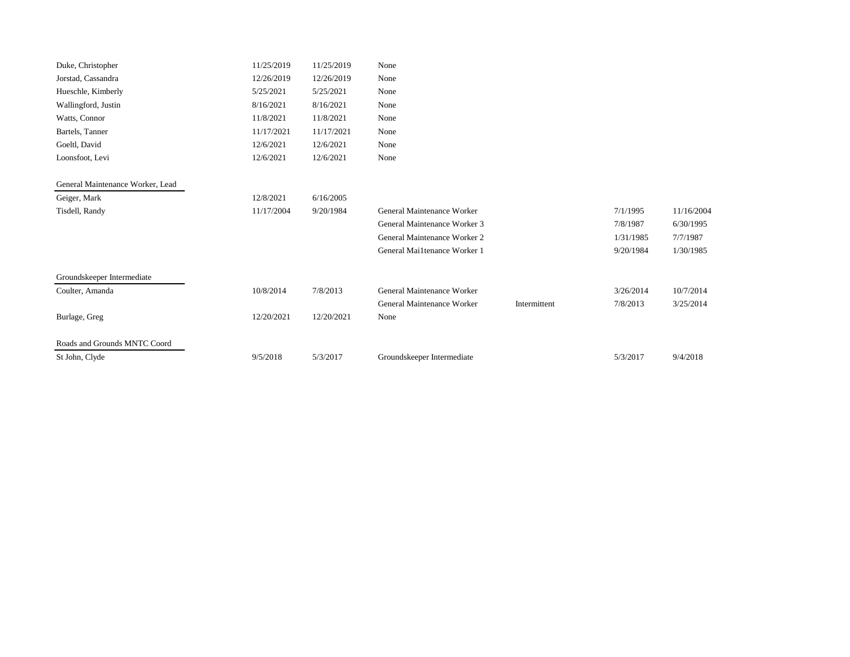| Duke, Christopher                | 11/25/2019 | 11/25/2019 | None                         |              |           |            |
|----------------------------------|------------|------------|------------------------------|--------------|-----------|------------|
| Jorstad, Cassandra               | 12/26/2019 | 12/26/2019 | None                         |              |           |            |
| Hueschle, Kimberly               | 5/25/2021  | 5/25/2021  | None                         |              |           |            |
| Wallingford, Justin              | 8/16/2021  | 8/16/2021  | None                         |              |           |            |
| Watts, Connor                    | 11/8/2021  | 11/8/2021  | None                         |              |           |            |
| Bartels, Tanner                  | 11/17/2021 | 11/17/2021 | None                         |              |           |            |
| Goeltl, David                    | 12/6/2021  | 12/6/2021  | None                         |              |           |            |
| Loonsfoot, Levi                  | 12/6/2021  | 12/6/2021  | None                         |              |           |            |
| General Maintenance Worker, Lead |            |            |                              |              |           |            |
| Geiger, Mark                     | 12/8/2021  | 6/16/2005  |                              |              |           |            |
| Tisdell, Randy                   | 11/17/2004 | 9/20/1984  | General Maintenance Worker   |              | 7/1/1995  | 11/16/2004 |
|                                  |            |            | General Maintenance Worker 3 |              | 7/8/1987  | 6/30/1995  |
|                                  |            |            | General Maintenance Worker 2 |              | 1/31/1985 | 7/7/1987   |
|                                  |            |            | General Mai1tenance Worker 1 |              | 9/20/1984 | 1/30/1985  |
| Groundskeeper Intermediate       |            |            |                              |              |           |            |
| Coulter, Amanda                  | 10/8/2014  | 7/8/2013   | General Maintenance Worker   |              | 3/26/2014 | 10/7/2014  |
|                                  |            |            | General Maintenance Worker   | Intermittent | 7/8/2013  | 3/25/2014  |
| Burlage, Greg                    | 12/20/2021 | 12/20/2021 | None                         |              |           |            |
| Roads and Grounds MNTC Coord     |            |            |                              |              |           |            |
| St John, Clyde                   | 9/5/2018   | 5/3/2017   | Groundskeeper Intermediate   |              | 5/3/2017  | 9/4/2018   |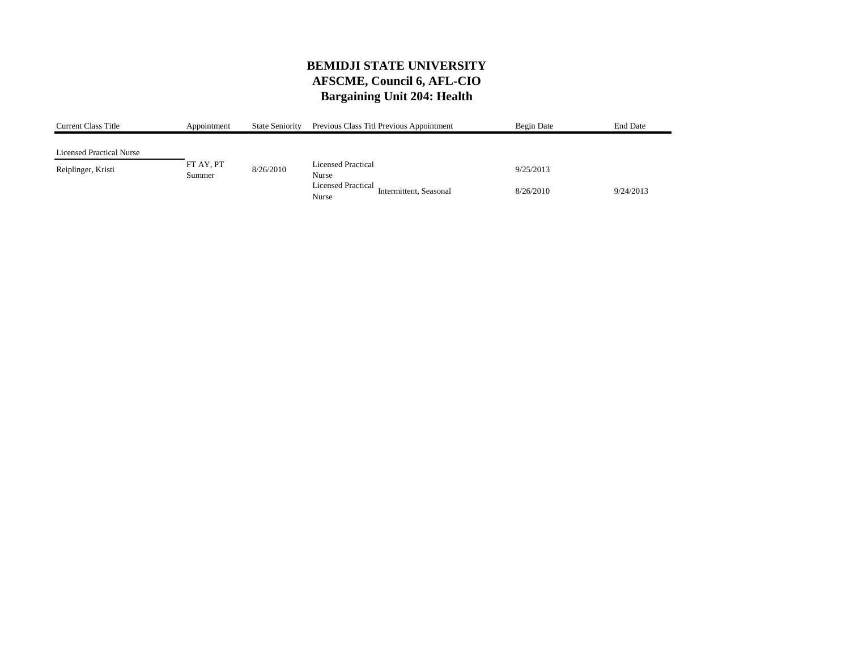# **BEMIDJI STATE UNIVERSITY AFSCME, Council 6, AFL-CIO Bargaining Unit 204: Health**

| <b>Current Class Title</b>      | Appointment | <b>State Seniority</b> | Previous Class Titl Previous Appointment     | Begin Date | <b>End Date</b> |
|---------------------------------|-------------|------------------------|----------------------------------------------|------------|-----------------|
|                                 |             |                        |                                              |            |                 |
| <b>Licensed Practical Nurse</b> |             |                        |                                              |            |                 |
| Reiplinger, Kristi              | FT AY, PT   | 8/26/2010              | <b>Licensed Practical</b>                    | 9/25/2013  |                 |
|                                 | Summer      |                        | Nurse                                        |            |                 |
|                                 |             |                        | Licensed Practical<br>Intermittent, Seasonal | 8/26/2010  | 9/24/2013       |
|                                 |             |                        | Nurse                                        |            |                 |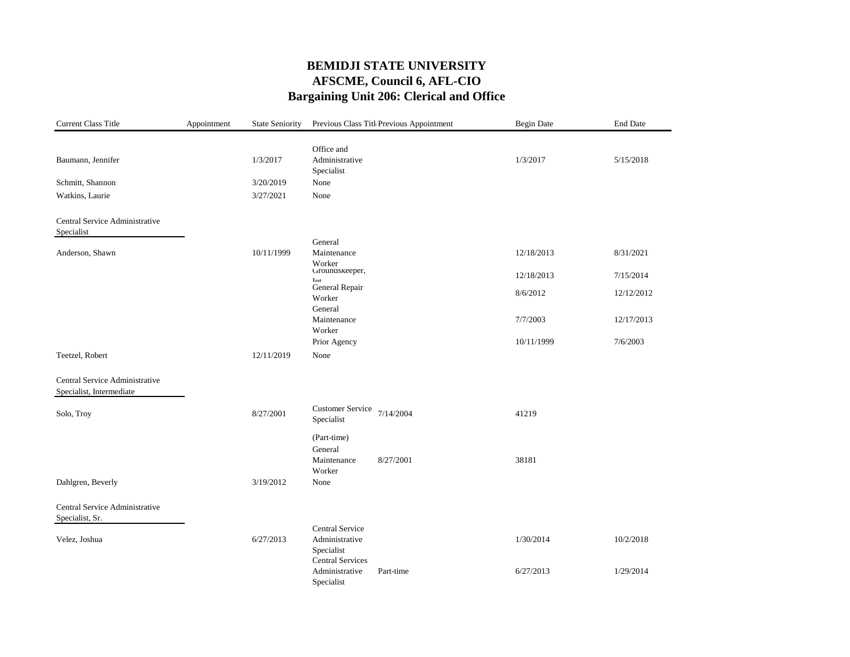# **BEMIDJI STATE UNIVERSITY AFSCME, Council 6, AFL-CIO Bargaining Unit 206: Clerical and Office**

| <b>Current Class Title</b>     | Appointment | <b>State Seniority</b> |                                       | Previous Class Titl Previous Appointment | <b>Begin Date</b> | End Date   |
|--------------------------------|-------------|------------------------|---------------------------------------|------------------------------------------|-------------------|------------|
|                                |             |                        |                                       |                                          |                   |            |
|                                |             |                        | Office and                            |                                          |                   |            |
| Baumann, Jennifer              |             | 1/3/2017               | Administrative<br>Specialist          |                                          | 1/3/2017          | 5/15/2018  |
| Schmitt, Shannon               |             | 3/20/2019              | None                                  |                                          |                   |            |
| Watkins, Laurie                |             | 3/27/2021              | None                                  |                                          |                   |            |
| Central Service Administrative |             |                        |                                       |                                          |                   |            |
| Specialist                     |             |                        |                                       |                                          |                   |            |
|                                |             |                        | General                               |                                          |                   |            |
| Anderson, Shawn                |             | 10/11/1999             | Maintenance                           |                                          | 12/18/2013        | 8/31/2021  |
|                                |             |                        | Worker<br>Groundskeeper,              |                                          | 12/18/2013        | 7/15/2014  |
|                                |             |                        | Inf<br>General Repair                 |                                          |                   |            |
|                                |             |                        | Worker                                |                                          | 8/6/2012          | 12/12/2012 |
|                                |             |                        | General                               |                                          |                   |            |
|                                |             |                        | Maintenance                           |                                          | 7/7/2003          | 12/17/2013 |
|                                |             |                        | Worker                                |                                          |                   |            |
|                                |             |                        | Prior Agency                          |                                          | 10/11/1999        | 7/6/2003   |
| Teetzel, Robert                |             | 12/11/2019             | None                                  |                                          |                   |            |
| Central Service Administrative |             |                        |                                       |                                          |                   |            |
| Specialist, Intermediate       |             |                        |                                       |                                          |                   |            |
| Solo, Troy                     |             | 8/27/2001              | <b>Customer Service</b>               | 7/14/2004                                | 41219             |            |
|                                |             |                        | Specialist                            |                                          |                   |            |
|                                |             |                        | (Part-time)                           |                                          |                   |            |
|                                |             |                        | General                               |                                          |                   |            |
|                                |             |                        | Maintenance                           | 8/27/2001                                | 38181             |            |
|                                |             |                        | Worker                                |                                          |                   |            |
| Dahlgren, Beverly              |             | 3/19/2012              | None                                  |                                          |                   |            |
| Central Service Administrative |             |                        |                                       |                                          |                   |            |
| Specialist, Sr.                |             |                        |                                       |                                          |                   |            |
|                                |             |                        | Central Service                       |                                          |                   |            |
| Velez, Joshua                  |             | 6/27/2013              | Administrative                        |                                          | 1/30/2014         | 10/2/2018  |
|                                |             |                        | Specialist<br><b>Central Services</b> |                                          |                   |            |
|                                |             |                        | Administrative                        | Part-time                                | 6/27/2013         | 1/29/2014  |
|                                |             |                        | Specialist                            |                                          |                   |            |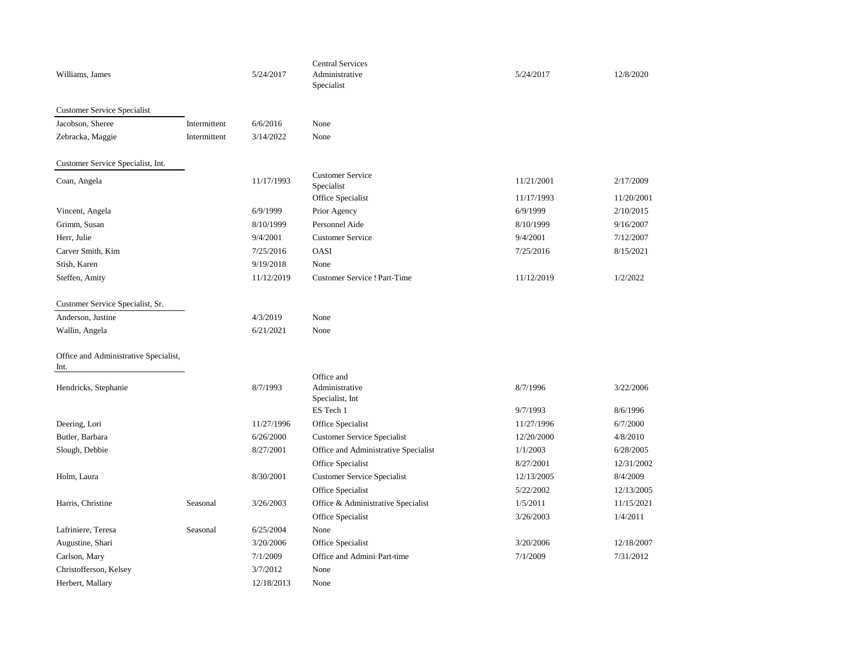| Williams, James                               |              | 5/24/2017  | <b>Central Services</b><br>Administrative<br>Specialist | 5/24/2017  | 12/8/2020  |
|-----------------------------------------------|--------------|------------|---------------------------------------------------------|------------|------------|
| <b>Customer Service Specialist</b>            |              |            |                                                         |            |            |
| Jacobson, Sheree                              | Intermittent | 6/6/2016   | None                                                    |            |            |
| Zebracka, Maggie                              | Intermittent | 3/14/2022  | None                                                    |            |            |
| Customer Service Specialist, Int.             |              |            |                                                         |            |            |
| Coan, Angela                                  |              | 11/17/1993 | <b>Customer Service</b><br>Specialist                   | 11/21/2001 | 2/17/2009  |
|                                               |              |            | Office Specialist                                       | 11/17/1993 | 11/20/2001 |
| Vincent, Angela                               |              | 6/9/1999   | Prior Agency                                            | 6/9/1999   | 2/10/2015  |
| Grimm, Susan                                  |              | 8/10/1999  | Personnel Aide                                          | 8/10/1999  | 9/16/2007  |
| Herr, Julie                                   |              | 9/4/2001   | <b>Customer Service</b>                                 | 9/4/2001   | 7/12/2007  |
| Carver Smith, Kim                             |              | 7/25/2016  | OASI                                                    | 7/25/2016  | 8/15/2021  |
| Stish, Karen                                  |              | 9/19/2018  | None                                                    |            |            |
| Steffen, Amity                                |              | 11/12/2019 | <b>Customer Service : Part-Time</b>                     | 11/12/2019 | 1/2/2022   |
| Customer Service Specialist, Sr.              |              |            |                                                         |            |            |
| Anderson, Justine                             |              | 4/3/2019   | None                                                    |            |            |
| Wallin, Angela                                |              | 6/21/2021  | None                                                    |            |            |
| Office and Administrative Specialist,<br>Int. |              |            |                                                         |            |            |
| Hendricks, Stephanie                          |              | 8/7/1993   | Office and<br>Administrative<br>Specialist, Int         | 8/7/1996   | 3/22/2006  |
|                                               |              |            | ES Tech 1                                               | 9/7/1993   | 8/6/1996   |
| Deering, Lori                                 |              | 11/27/1996 | Office Specialist                                       | 11/27/1996 | 6/7/2000   |
| Butler, Barbara                               |              | 6/26/2000  | <b>Customer Service Specialist</b>                      | 12/20/2000 | 4/8/2010   |
| Slough, Debbie                                |              | 8/27/2001  | Office and Administrative Specialist                    | 1/1/2003   | 6/28/2005  |
|                                               |              |            | Office Specialist                                       | 8/27/2001  | 12/31/2002 |
| Holm, Laura                                   |              | 8/30/2001  | <b>Customer Service Specialist</b>                      | 12/13/2005 | 8/4/2009   |
|                                               |              |            | Office Specialist                                       | 5/22/2002  | 12/13/2005 |
| Harris, Christine                             | Seasonal     | 3/26/2003  | Office & Administrative Specialist                      | 1/5/2011   | 11/15/2021 |
|                                               |              |            | Office Specialist                                       | 3/26/2003  | 1/4/2011   |
| Lafriniere, Teresa                            | Seasonal     | 6/25/2004  | None                                                    |            |            |
| Augustine, Shari                              |              | 3/20/2006  | Office Specialist                                       | 3/20/2006  | 12/18/2007 |
| Carlson, Mary                                 |              | 7/1/2009   | Office and Admini Part-time                             | 7/1/2009   | 7/31/2012  |
| Christofferson, Kelsey                        |              | 3/7/2012   | None                                                    |            |            |
| Herbert, Mallary                              |              | 12/18/2013 | None                                                    |            |            |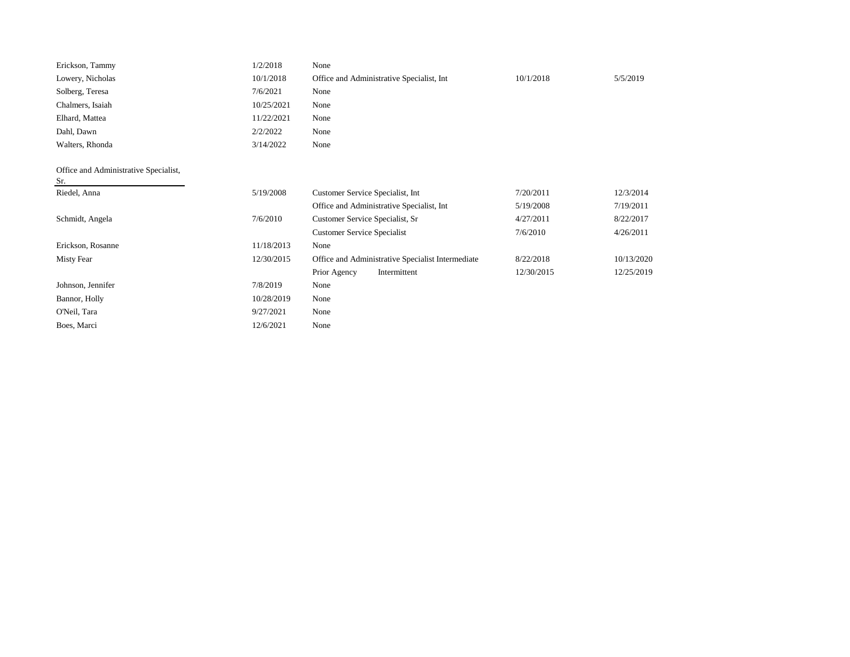| Erickson, Tammy                              | 1/2/2018   | None                                              |            |            |
|----------------------------------------------|------------|---------------------------------------------------|------------|------------|
| Lowery, Nicholas                             | 10/1/2018  | Office and Administrative Specialist, Int         | 10/1/2018  | 5/5/2019   |
| Solberg, Teresa                              | 7/6/2021   | None                                              |            |            |
| Chalmers, Isaiah                             | 10/25/2021 | None                                              |            |            |
| Elhard, Mattea                               | 11/22/2021 | None                                              |            |            |
| Dahl, Dawn                                   | 2/2/2022   | None                                              |            |            |
| Walters, Rhonda                              | 3/14/2022  | None                                              |            |            |
|                                              |            |                                                   |            |            |
| Office and Administrative Specialist,<br>Sr. |            |                                                   |            |            |
| Riedel, Anna                                 | 5/19/2008  | Customer Service Specialist, Int                  | 7/20/2011  | 12/3/2014  |
|                                              |            | Office and Administrative Specialist, Int         | 5/19/2008  | 7/19/2011  |
| Schmidt, Angela                              | 7/6/2010   | Customer Service Specialist, Sr                   | 4/27/2011  | 8/22/2017  |
|                                              |            | <b>Customer Service Specialist</b>                | 7/6/2010   | 4/26/2011  |
| Erickson, Rosanne                            | 11/18/2013 | None                                              |            |            |
| <b>Misty Fear</b>                            | 12/30/2015 | Office and Administrative Specialist Intermediate | 8/22/2018  | 10/13/2020 |
|                                              |            | Prior Agency<br>Intermittent                      | 12/30/2015 | 12/25/2019 |
| Johnson, Jennifer                            | 7/8/2019   | None                                              |            |            |
| Bannor, Holly                                | 10/28/2019 | None                                              |            |            |
| O'Neil, Tara                                 | 9/27/2021  | None                                              |            |            |
| Boes, Marci                                  | 12/6/2021  | None                                              |            |            |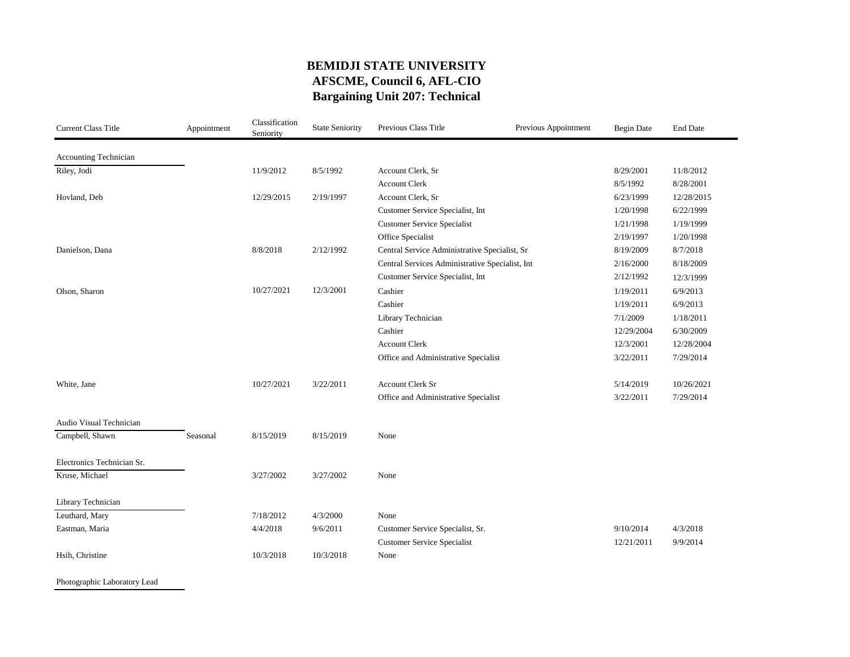### **BEMIDJI STATE UNIVERSITY AFSCME, Council 6, AFL-CIO Bargaining Unit 207: Technical**

| <b>Current Class Title</b> | Appointment | Classification<br>Seniority | <b>State Seniority</b> | Previous Class Title                            | Previous Appointment | <b>Begin Date</b> | <b>End Date</b> |
|----------------------------|-------------|-----------------------------|------------------------|-------------------------------------------------|----------------------|-------------------|-----------------|
| Accounting Technician      |             |                             |                        |                                                 |                      |                   |                 |
| Riley, Jodi                |             | 11/9/2012                   | 8/5/1992               | Account Clerk, Sr                               |                      | 8/29/2001         | 11/8/2012       |
|                            |             |                             |                        | <b>Account Clerk</b>                            |                      | 8/5/1992          | 8/28/2001       |
| Hovland, Deb               |             | 12/29/2015                  | 2/19/1997              | Account Clerk, Sr                               |                      | 6/23/1999         | 12/28/2015      |
|                            |             |                             |                        | Customer Service Specialist, Int                |                      | 1/20/1998         | 6/22/1999       |
|                            |             |                             |                        | <b>Customer Service Specialist</b>              |                      | 1/21/1998         | 1/19/1999       |
|                            |             |                             |                        | Office Specialist                               |                      | 2/19/1997         | 1/20/1998       |
| Danielson, Dana            |             | 8/8/2018                    | 2/12/1992              | Central Service Administrative Specialist, Sr   |                      | 8/19/2009         | 8/7/2018        |
|                            |             |                             |                        | Central Services Administrative Specialist, Int |                      | 2/16/2000         | 8/18/2009       |
|                            |             |                             |                        | Customer Service Specialist, Int                |                      | 2/12/1992         | 12/3/1999       |
| Olson, Sharon              |             | 10/27/2021                  | 12/3/2001              | Cashier                                         |                      | 1/19/2011         | 6/9/2013        |
|                            |             |                             |                        | Cashier                                         |                      | 1/19/2011         | 6/9/2013        |
|                            |             |                             |                        | Library Technician                              |                      | 7/1/2009          | 1/18/2011       |
|                            |             |                             |                        | Cashier                                         |                      | 12/29/2004        | 6/30/2009       |
|                            |             |                             |                        | <b>Account Clerk</b>                            |                      | 12/3/2001         | 12/28/2004      |
|                            |             |                             |                        | Office and Administrative Specialist            |                      | 3/22/2011         | 7/29/2014       |
| White, Jane                |             | 10/27/2021                  | 3/22/2011              | <b>Account Clerk Sr</b>                         |                      | 5/14/2019         | 10/26/2021      |
|                            |             |                             |                        | Office and Administrative Specialist            |                      | 3/22/2011         | 7/29/2014       |
| Audio Visual Technician    |             |                             |                        |                                                 |                      |                   |                 |
| Campbell, Shawn            | Seasonal    | 8/15/2019                   | 8/15/2019              | None                                            |                      |                   |                 |
| Electronics Technician Sr. |             |                             |                        |                                                 |                      |                   |                 |
| Kruse, Michael             |             | 3/27/2002                   | 3/27/2002              | None                                            |                      |                   |                 |
| Library Technician         |             |                             |                        |                                                 |                      |                   |                 |
| Leuthard, Mary             |             | 7/18/2012                   | 4/3/2000               | None                                            |                      |                   |                 |
| Eastman, Maria             |             | 4/4/2018                    | 9/6/2011               | Customer Service Specialist, Sr.                |                      | 9/10/2014         | 4/3/2018        |
|                            |             |                             |                        | <b>Customer Service Specialist</b>              |                      | 12/21/2011        | 9/9/2014        |
| Hsih, Christine            |             | 10/3/2018                   | 10/3/2018              | None                                            |                      |                   |                 |

Photographic Laboratory Lead